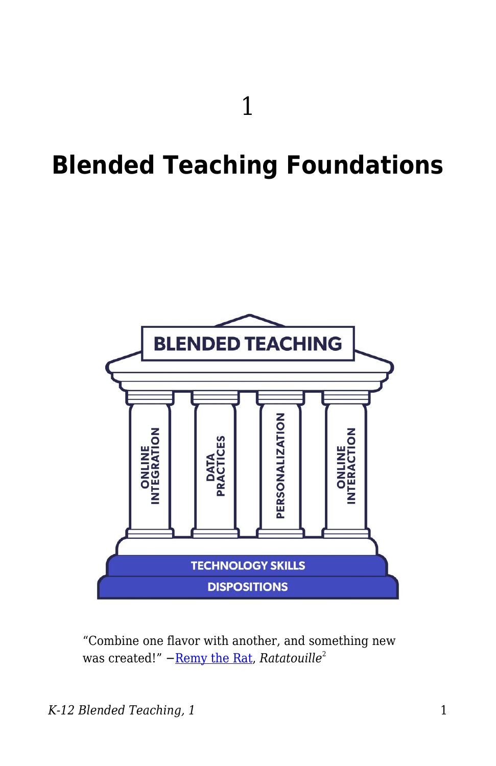# **Blended Teaching Foundations**



"Combine one flavor with another, and something new was created!" – [Remy the Rat,](https://www.youtube.com/watch?v=Yyah49_Oz78) Ratatouille<sup>2</sup>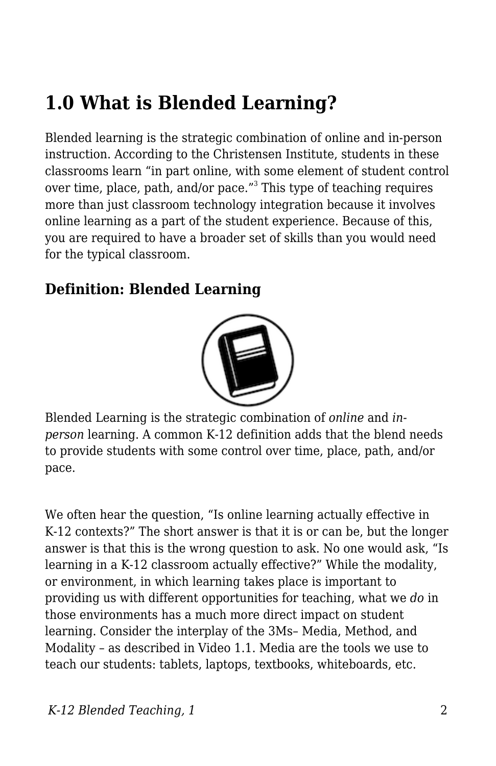## **1.0 What is Blended Learning?**

Blended learning is the strategic combination of online and in-person instruction. According to the Christensen Institute, students in these classrooms learn "in part online, with some element of student control over time, place, path, and/or pace."<sup>3</sup> This type of teaching requires more than just classroom technology integration because it involves online learning as a part of the student experience. Because of this, you are required to have a broader set of skills than you would need for the typical classroom.

### **Definition: Blended Learning**



Blended Learning is the strategic combination of *online* and *inperson* learning. A common K-12 definition adds that the blend needs to provide students with some control over time, place, path, and/or pace.

We often hear the question, "Is online learning actually effective in K-12 contexts?" The short answer is that it is or can be, but the longer answer is that this is the wrong question to ask. No one would ask, "Is learning in a K-12 classroom actually effective?" While the modality, or environment, in which learning takes place is important to providing us with different opportunities for teaching, what we *do* in those environments has a much more direct impact on student learning. Consider the interplay of the 3Ms– Media, Method, and Modality – as described in Video 1.1. Media are the tools we use to teach our students: tablets, laptops, textbooks, whiteboards, etc.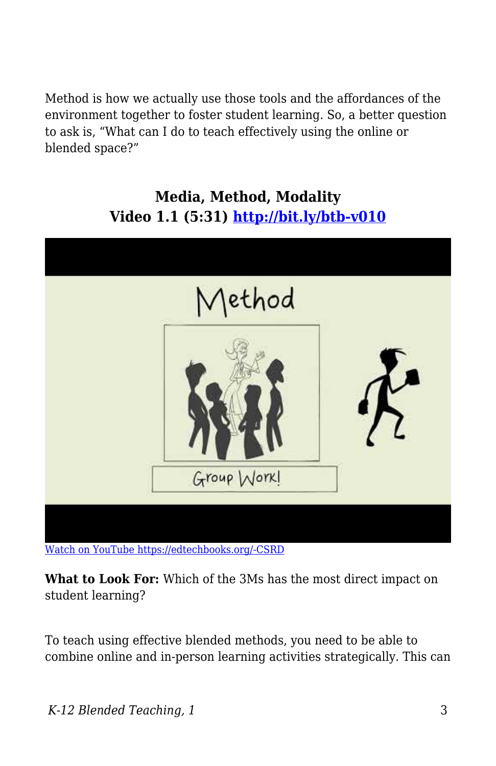Method is how we actually use those tools and the affordances of the environment together to foster student learning. So, a better question to ask is, "What can I do to teach effectively using the online or blended space?"

#### **Media, Method, Modality Video 1.1 (5:31)<http://bit.ly/btb-v010>**



[Watch on YouTube https://edtechbooks.org/-CSRD](https://www.youtube.com/embed/vZ56_tcvocY?autoplay=1&rel=0&showinfo=0&modestbranding=1)

**What to Look For:** Which of the 3Ms has the most direct impact on student learning?

To teach using effective blended methods, you need to be able to combine online and in-person learning activities strategically. This can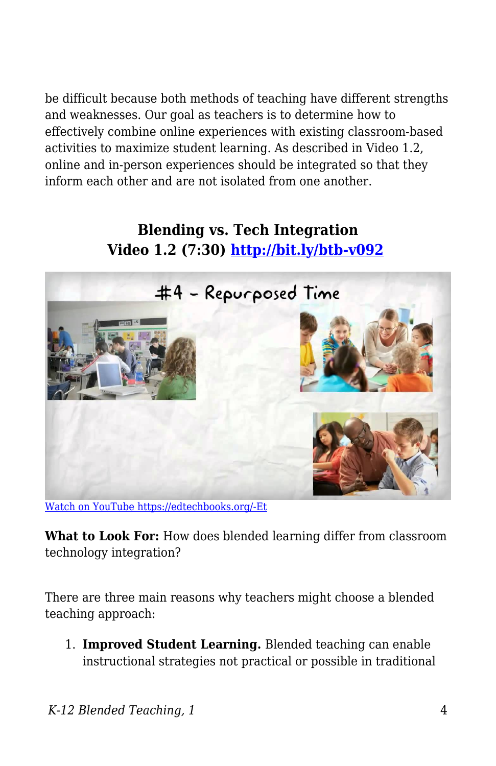be difficult because both methods of teaching have different strengths and weaknesses. Our goal as teachers is to determine how to effectively combine online experiences with existing classroom-based activities to maximize student learning. As described in Video 1.2, online and in-person experiences should be integrated so that they inform each other and are not isolated from one another.

#### **Blending vs. Tech Integration Video 1.2 (7:30)<http://bit.ly/btb-v092>**



[Watch on YouTube https://edtechbooks.org/-Et](https://www.youtube.com/embed/KD8AUfGsCKg?autoplay=1&rel=0&showinfo=0&modestbranding=1)

**What to Look For:** How does blended learning differ from classroom technology integration?

There are three main reasons why teachers might choose a blended teaching approach:

1. **Improved Student Learning.** Blended teaching can enable instructional strategies not practical or possible in traditional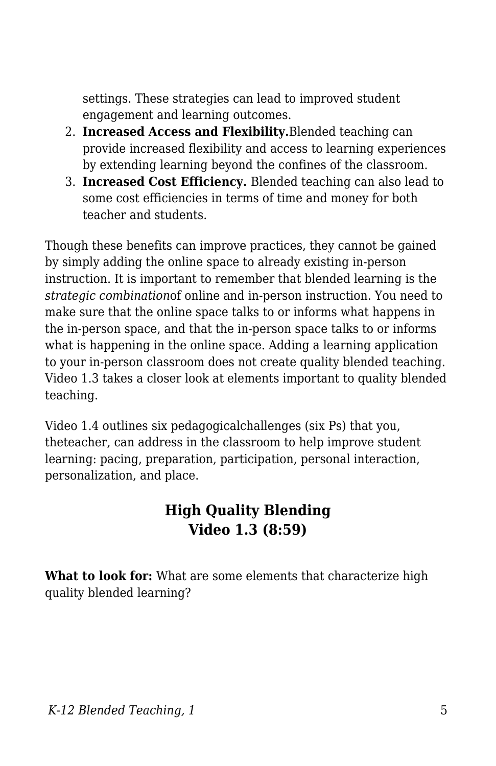settings. These strategies can lead to improved student engagement and learning outcomes.

- 2. **Increased Access and Flexibility.**Blended teaching can provide increased flexibility and access to learning experiences by extending learning beyond the confines of the classroom.
- 3. **Increased Cost Efficiency.** Blended teaching can also lead to some cost efficiencies in terms of time and money for both teacher and students.

Though these benefits can improve practices, they cannot be gained by simply adding the online space to already existing in-person instruction. It is important to remember that blended learning is the *strategic combination*of online and in-person instruction. You need to make sure that the online space talks to or informs what happens in the in-person space, and that the in-person space talks to or informs what is happening in the online space. Adding a learning application to your in-person classroom does not create quality blended teaching. Video 1.3 takes a closer look at elements important to quality blended teaching.

Video 1.4 outlines six pedagogicalchallenges (six Ps) that you, theteacher, can address in the classroom to help improve student learning: pacing, preparation, participation, personal interaction, personalization, and place.

### **High Quality Blending Video 1.3 (8:59)**

**What to look for:** What are some elements that characterize high quality blended learning?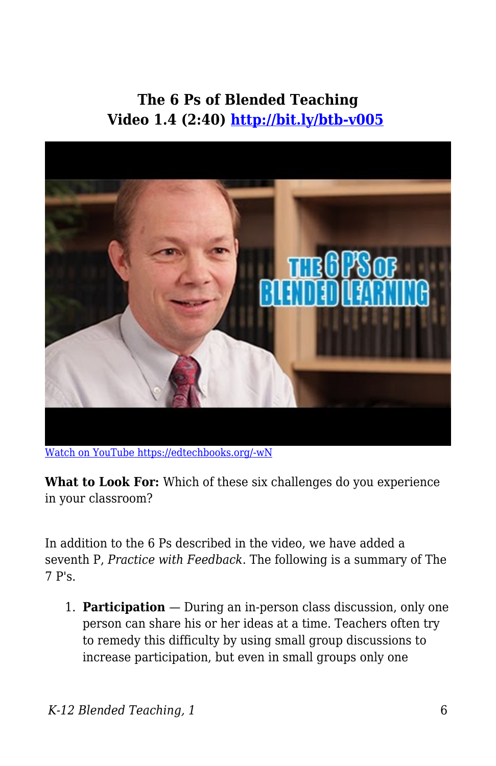### **The 6 Ps of Blended Teaching Video 1.4 (2:40)<http://bit.ly/btb-v005>**



[Watch on YouTube https://edtechbooks.org/-wN](https://www.youtube.com/embed/hWLphnHYfuw?autoplay=1&rel=0&showinfo=0&modestbranding=1)

What to Look For: Which of these six challenges do you experience in your classroom?

In addition to the 6 Ps described in the video, we have added a seventh P, *Practice with Feedback*. The following is a summary of The 7 P's.

1. **Participation** — During an in-person class discussion, only one person can share his or her ideas at a time. Teachers often try to remedy this difficulty by using small group discussions to increase participation, but even in small groups only one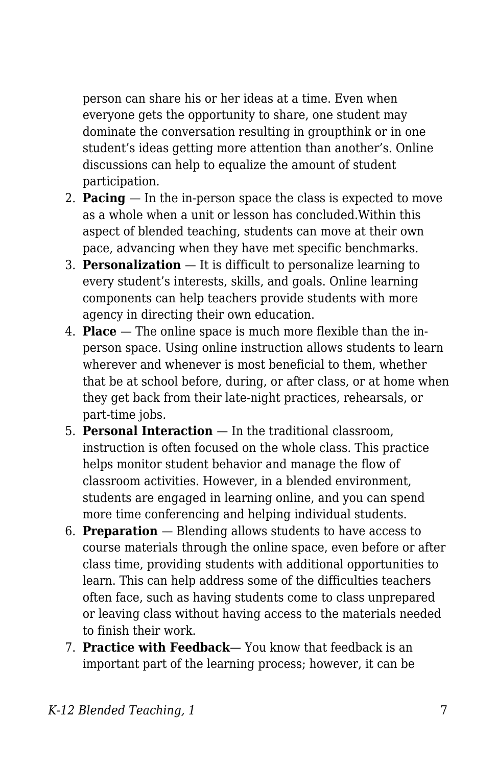person can share his or her ideas at a time. Even when everyone gets the opportunity to share, one student may dominate the conversation resulting in groupthink or in one student's ideas getting more attention than another's. Online discussions can help to equalize the amount of student participation.

- 2. **Pacing**  In the in-person space the class is expected to move as a whole when a unit or lesson has concluded.Within this aspect of blended teaching, students can move at their own pace, advancing when they have met specific benchmarks.
- 3. **Personalization**  It is difficult to personalize learning to every student's interests, skills, and goals. Online learning components can help teachers provide students with more agency in directing their own education.
- 4. **Place**  The online space is much more flexible than the inperson space. Using online instruction allows students to learn wherever and whenever is most beneficial to them, whether that be at school before, during, or after class, or at home when they get back from their late-night practices, rehearsals, or part-time jobs.
- 5. **Personal Interaction**  In the traditional classroom, instruction is often focused on the whole class. This practice helps monitor student behavior and manage the flow of classroom activities. However, in a blended environment, students are engaged in learning online, and you can spend more time conferencing and helping individual students.
- 6. **Preparation**  Blending allows students to have access to course materials through the online space, even before or after class time, providing students with additional opportunities to learn. This can help address some of the difficulties teachers often face, such as having students come to class unprepared or leaving class without having access to the materials needed to finish their work.
- 7. **Practice with Feedback** You know that feedback is an important part of the learning process; however, it can be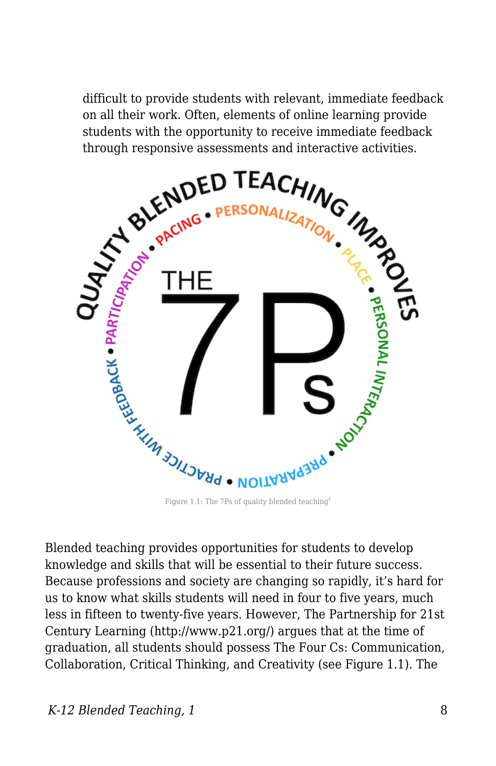difficult to provide students with relevant, immediate feedback on all their work. Often, elements of online learning provide students with the opportunity to receive immediate feedback through responsive assessments and interactive activities.



Blended teaching provides opportunities for students to develop knowledge and skills that will be essential to their future success. Because professions and society are changing so rapidly, it's hard for us to know what skills students will need in four to five years, much less in fifteen to twenty-five years. However, The Partnership for 21st Century Learning (http://www.p21.org/) argues that at the time of graduation, all students should possess The Four Cs: Communication, Collaboration, Critical Thinking, and Creativity (see Figure 1.1). The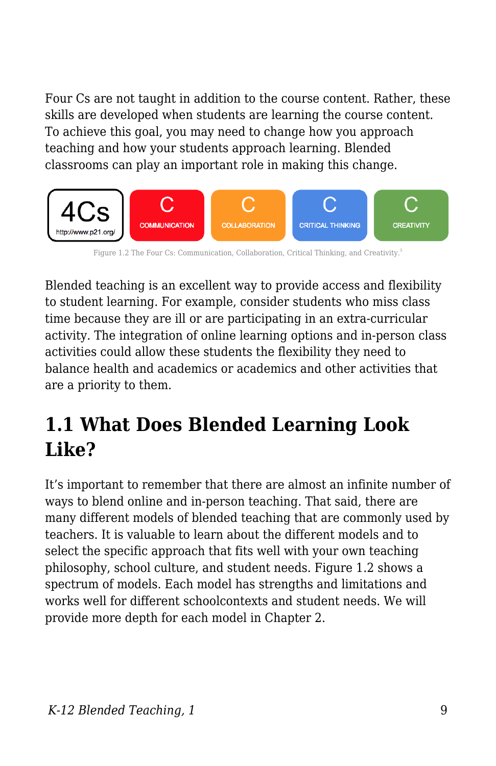Four Cs are not taught in addition to the course content. Rather, these skills are developed when students are learning the course content. To achieve this goal, you may need to change how you approach teaching and how your students approach learning. Blended classrooms can play an important role in making this change.



Figure 1.2 The Four Cs: Communication, Collaboration, Critical Thinking, and Creativity.<sup>5</sup>

Blended teaching is an excellent way to provide access and flexibility to student learning. For example, consider students who miss class time because they are ill or are participating in an extra-curricular activity. The integration of online learning options and in-person class activities could allow these students the flexibility they need to balance health and academics or academics and other activities that are a priority to them.

## **1.1 What Does Blended Learning Look Like?**

It's important to remember that there are almost an infinite number of ways to blend online and in-person teaching. That said, there are many different models of blended teaching that are commonly used by teachers. It is valuable to learn about the different models and to select the specific approach that fits well with your own teaching philosophy, school culture, and student needs. Figure 1.2 shows a spectrum of models. Each model has strengths and limitations and works well for different schoolcontexts and student needs. We will provide more depth for each model in Chapter 2.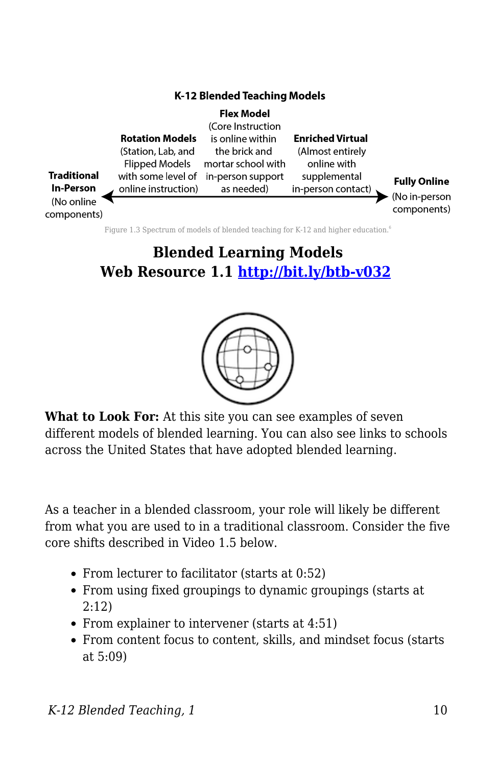

Figure 1.3 Spectrum of models of blended teaching for K-12 and higher education.<sup>6</sup>

## **Blended Learning Models Web Resource 1.1 <http://bit.ly/btb-v032>**



**What to Look For:** At this site you can see examples of seven different models of blended learning. You can also see links to schools across the United States that have adopted blended learning.

As a teacher in a blended classroom, your role will likely be different from what you are used to in a traditional classroom. Consider the five core shifts described in Video 1.5 below.

- From lecturer to facilitator (starts at 0:52)
- From using fixed groupings to dynamic groupings (starts at  $2:12$
- From explainer to intervener (starts at 4:51)
- From content focus to content, skills, and mindset focus (starts at 5:09)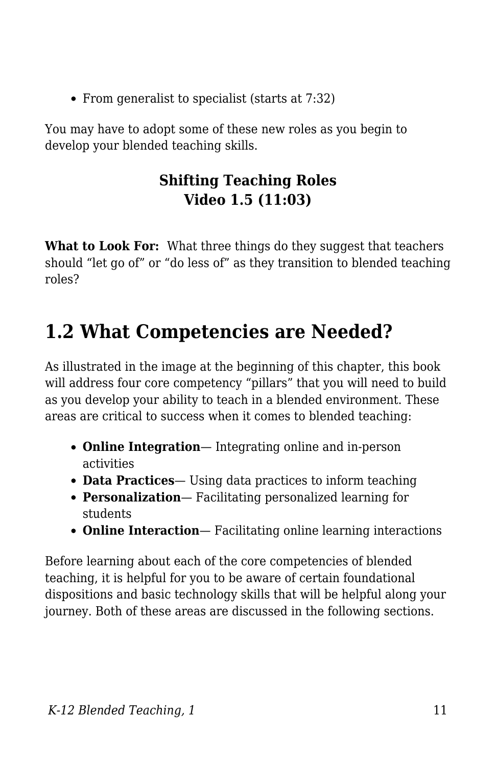• From generalist to specialist (starts at 7:32)

You may have to adopt some of these new roles as you begin to develop your blended teaching skills.

#### **Shifting Teaching Roles Video 1.5 (11:03)**

**What to Look For:** What three things do they suggest that teachers should "let go of" or "do less of" as they transition to blended teaching roles?

## **1.2 What Competencies are Needed?**

As illustrated in the image at the beginning of this chapter, this book will address four core competency "pillars" that you will need to build as you develop your ability to teach in a blended environment. These areas are critical to success when it comes to blended teaching:

- **Online Integration** Integrating online and in-person activities
- **Data Practices** Using data practices to inform teaching
- **Personalization** Facilitating personalized learning for students
- **Online Interaction** Facilitating online learning interactions

Before learning about each of the core competencies of blended teaching, it is helpful for you to be aware of certain foundational dispositions and basic technology skills that will be helpful along your journey. Both of these areas are discussed in the following sections.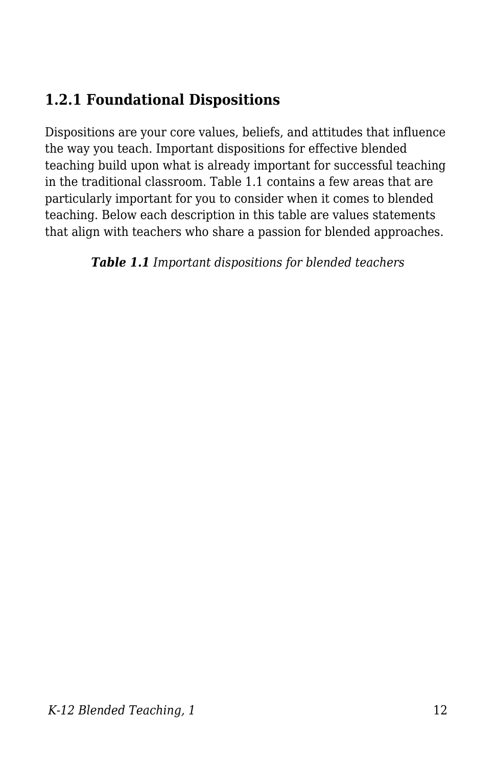## **1.2.1 Foundational Dispositions**

Dispositions are your core values, beliefs, and attitudes that influence the way you teach. Important dispositions for effective blended teaching build upon what is already important for successful teaching in the traditional classroom. Table 1.1 contains a few areas that are particularly important for you to consider when it comes to blended teaching. Below each description in this table are values statements that align with teachers who share a passion for blended approaches.

*Table 1.1 Important dispositions for blended teachers*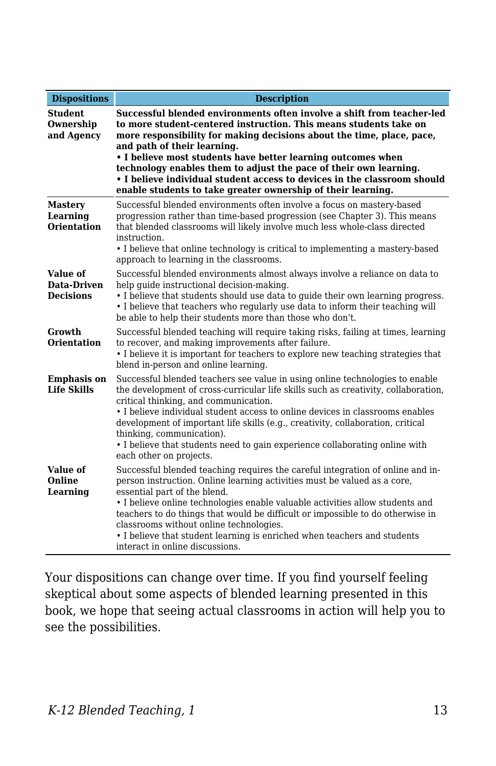| <b>Dispositions</b>                              | <b>Description</b>                                                                                                                                                                                                                                                                                                                                                                                                                                                                                                                   |
|--------------------------------------------------|--------------------------------------------------------------------------------------------------------------------------------------------------------------------------------------------------------------------------------------------------------------------------------------------------------------------------------------------------------------------------------------------------------------------------------------------------------------------------------------------------------------------------------------|
| <b>Student</b><br>Ownership<br>and Agency        | Successful blended environments often involve a shift from teacher-led<br>to more student-centered instruction. This means students take on<br>more responsibility for making decisions about the time, place, pace,<br>and path of their learning.<br>• I believe most students have better learning outcomes when<br>technology enables them to adjust the pace of their own learning.<br>• I believe individual student access to devices in the classroom should<br>enable students to take greater ownership of their learning. |
| <b>Mastery</b><br>Learning<br><b>Orientation</b> | Successful blended environments often involve a focus on mastery-based<br>progression rather than time-based progression (see Chapter 3). This means<br>that blended classrooms will likely involve much less whole-class directed<br>instruction.<br>• I believe that online technology is critical to implementing a mastery-based<br>approach to learning in the classrooms.                                                                                                                                                      |
| Value of<br>Data-Driven<br><b>Decisions</b>      | Successful blended environments almost always involve a reliance on data to<br>help quide instructional decision-making.<br>• I believe that students should use data to quide their own learning progress.<br>• I believe that teachers who regularly use data to inform their teaching will<br>be able to help their students more than those who don't.                                                                                                                                                                           |
| Growth<br><b>Orientation</b>                     | Successful blended teaching will require taking risks, failing at times, learning<br>to recover, and making improvements after failure.<br>• I believe it is important for teachers to explore new teaching strategies that<br>blend in-person and online learning.                                                                                                                                                                                                                                                                  |
| <b>Emphasis on</b><br><b>Life Skills</b>         | Successful blended teachers see value in using online technologies to enable<br>the development of cross-curricular life skills such as creativity, collaboration,<br>critical thinking, and communication.<br>• I believe individual student access to online devices in classrooms enables<br>development of important life skills (e.g., creativity, collaboration, critical<br>thinking, communication).<br>• I believe that students need to gain experience collaborating online with<br>each other on projects.               |
| Value of<br>Online<br>Learning                   | Successful blended teaching requires the careful integration of online and in-<br>person instruction. Online learning activities must be valued as a core,<br>essential part of the blend.<br>• I believe online technologies enable valuable activities allow students and<br>teachers to do things that would be difficult or impossible to do otherwise in<br>classrooms without online technologies.<br>• I believe that student learning is enriched when teachers and students<br>interact in online discussions.              |

Your dispositions can change over time. If you find yourself feeling skeptical about some aspects of blended learning presented in this book, we hope that seeing actual classrooms in action will help you to see the possibilities.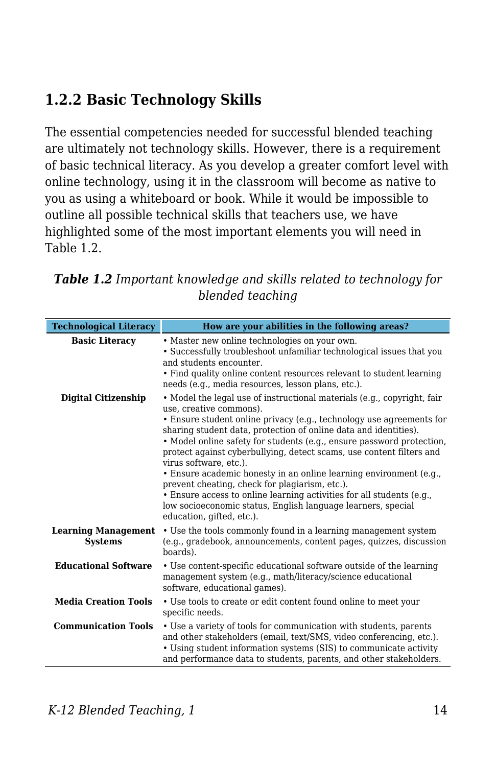## **1.2.2 Basic Technology Skills**

The essential competencies needed for successful blended teaching are ultimately not technology skills. However, there is a requirement of basic technical literacy. As you develop a greater comfort level with online technology, using it in the classroom will become as native to you as using a whiteboard or book. While it would be impossible to outline all possible technical skills that teachers use, we have highlighted some of the most important elements you will need in Table 1.2.

|                               | piendea teaching                                                                                                                                                                                                                                                                                                                                                                                |
|-------------------------------|-------------------------------------------------------------------------------------------------------------------------------------------------------------------------------------------------------------------------------------------------------------------------------------------------------------------------------------------------------------------------------------------------|
| <b>Technological Literacy</b> | How are your abilities in the following areas?                                                                                                                                                                                                                                                                                                                                                  |
| <b>Basic Literacy</b>         | • Master new online technologies on your own.<br>• Successfully troubleshoot unfamiliar technological issues that you<br>and students encounter.<br>• Find quality online content resources relevant to student learning<br>needs (e.g., media resources, lesson plans, etc.).                                                                                                                  |
| Digital Citizenship           | • Model the legal use of instructional materials (e.g., copyright, fair<br>use, creative commons).<br>• Ensure student online privacy (e.g., technology use agreements for<br>sharing student data, protection of online data and identities).<br>• Model online safety for students (e.g., ensure password protection,<br>protect against cyberbullying, detect scams, use content filters and |

| <b>Table 1.2</b> Important knowledge and skills related to technology for |  |
|---------------------------------------------------------------------------|--|
| blended teaching                                                          |  |

| • Ensure student online privacy (e.g., technology use agreements for<br>sharing student data, protection of online data and identities).<br>• Model online safety for students (e.g., ensure password protection,<br>protect against cyberbullying, detect scams, use content filters and<br>virus software, etc.).<br>• Ensure academic honesty in an online learning environment (e.g.,<br>prevent cheating, check for plagiarism, etc.).<br>• Ensure access to online learning activities for all students (e.g.,<br>low socioeconomic status, English language learners, special<br>education, gifted, etc.). |
|-------------------------------------------------------------------------------------------------------------------------------------------------------------------------------------------------------------------------------------------------------------------------------------------------------------------------------------------------------------------------------------------------------------------------------------------------------------------------------------------------------------------------------------------------------------------------------------------------------------------|
| <b>Learning Management</b><br>• Use the tools commonly found in a learning management system<br>(e.g., gradebook, announcements, content pages, guizzes, discussion<br>boards).                                                                                                                                                                                                                                                                                                                                                                                                                                   |
| • Use content-specific educational software outside of the learning<br>management system (e.g., math/literacy/science educational<br>software, educational games).                                                                                                                                                                                                                                                                                                                                                                                                                                                |
| • Use tools to create or edit content found online to meet your<br>specific needs.                                                                                                                                                                                                                                                                                                                                                                                                                                                                                                                                |
| • Use a variety of tools for communication with students, parents<br>and other stakeholders (email, text/SMS, video conferencing, etc.).<br>• Using student information systems (SIS) to communicate activity<br>and performance data to students, parents, and other stakeholders.                                                                                                                                                                                                                                                                                                                               |
|                                                                                                                                                                                                                                                                                                                                                                                                                                                                                                                                                                                                                   |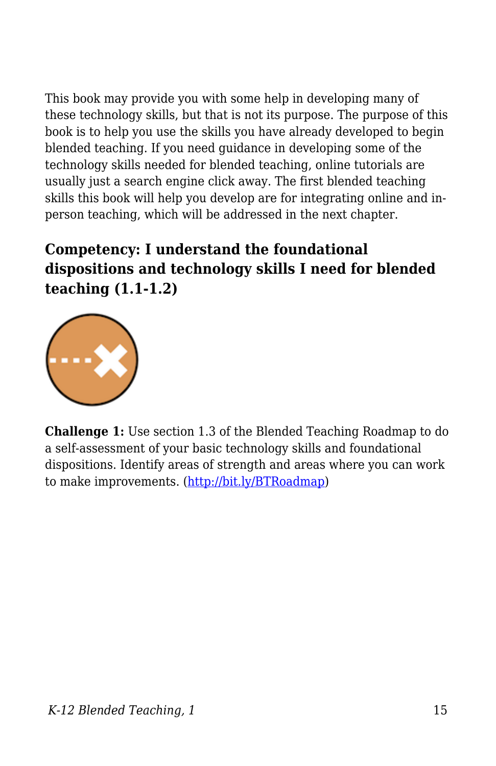This book may provide you with some help in developing many of these technology skills, but that is not its purpose. The purpose of this book is to help you use the skills you have already developed to begin blended teaching. If you need guidance in developing some of the technology skills needed for blended teaching, online tutorials are usually just a search engine click away. The first blended teaching skills this book will help you develop are for integrating online and inperson teaching, which will be addressed in the next chapter.

## **Competency: I understand the foundational dispositions and technology skills I need for blended teaching (1.1-1.2)**



**Challenge 1:** Use section 1.3 of the Blended Teaching Roadmap to do a self-assessment of your basic technology skills and foundational dispositions. Identify areas of strength and areas where you can work to make improvements. (<http://bit.ly/BTRoadmap>)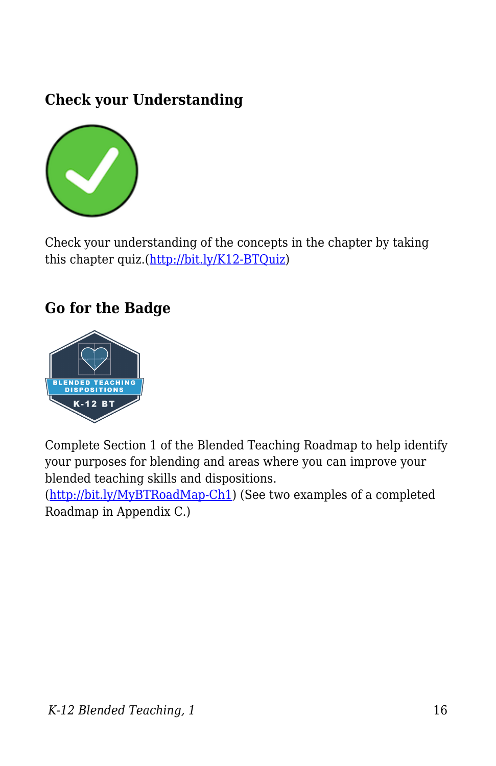### **Check your Understanding**



Check your understanding of the concepts in the chapter by taking this chapter quiz.[\(http://bit.ly/K12-BTQuiz\)](http://bit.ly/K12-BTQuiz)

#### **Go for the Badge**



Complete Section 1 of the Blended Teaching Roadmap to help identify your purposes for blending and areas where you can improve your blended teaching skills and dispositions.

(<http://bit.ly/MyBTRoadMap-Ch1>) (See two examples of a completed Roadmap in Appendix C.)